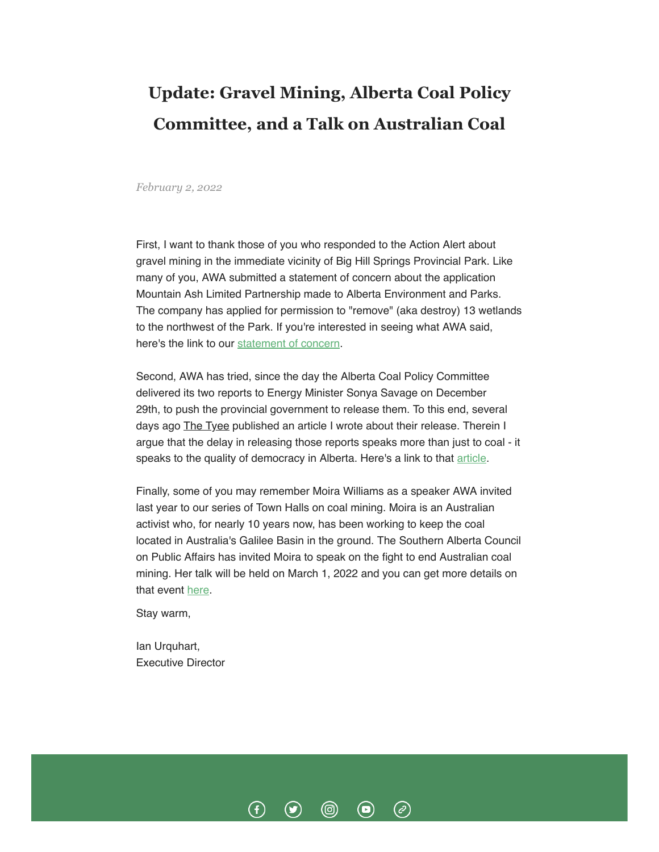## **Update: Gravel Mining, Alberta Coal Policy Committee, and a Talk on Australian Coal**

*February 2, 2022*

First, I want to thank those of you who responded to the Action Alert about gravel mining in the immediate vicinity of Big Hill Springs Provincial Park. Like many of you, AWA submitted a statement of concern about the application Mountain Ash Limited Partnership made to Alberta Environment and Parks. The company has applied for permission to "remove" (aka destroy) 13 wetlands to the northwest of the Park. If you're interested in seeing what AWA said, here's the link to our [statement of concern](https://albertawilderness.ca/wp-content/uploads/2022/02/20220130_lt_soc_AEP_BigHillSprings.pdf).

Second, AWA has tried, since the day the Alberta Coal Policy Committee delivered its two reports to Energy Minister Sonya Savage on December 29th, to push the provincial government to release them. To this end, several days ago The Tyee published an article I wrote about their release. Therein I argue that the delay in releasing those reports speaks more than just to coal - it speaks to the quality of democracy in Alberta. Here's a link to that [article.](https://thetyee.ca/Opinion/2022/01/31/Kenney-Public-Input-Coal-Mining/)

Finally, some of you may remember Moira Williams as a speaker AWA invited last year to our series of Town Halls on coal mining. Moira is an Australian activist who, for nearly 10 years now, has been working to keep the coal located in Australia's Galilee Basin in the ground. The Southern Alberta Council on Public Affairs has invited Moira to speak on the fight to end Australian coal mining. Her talk will be held on March 1, 2022 and you can get more details on that event [here.](https://www.sacpa.ca/session/2022/the-fight-to-end-australian-coal-mining/)

(ම)

 $\left( \blacksquare \right)$ 

 $\big($ c $\big)$ 

Stay warm,

Ian Urquhart, Executive Director

 $\left( f\right)$